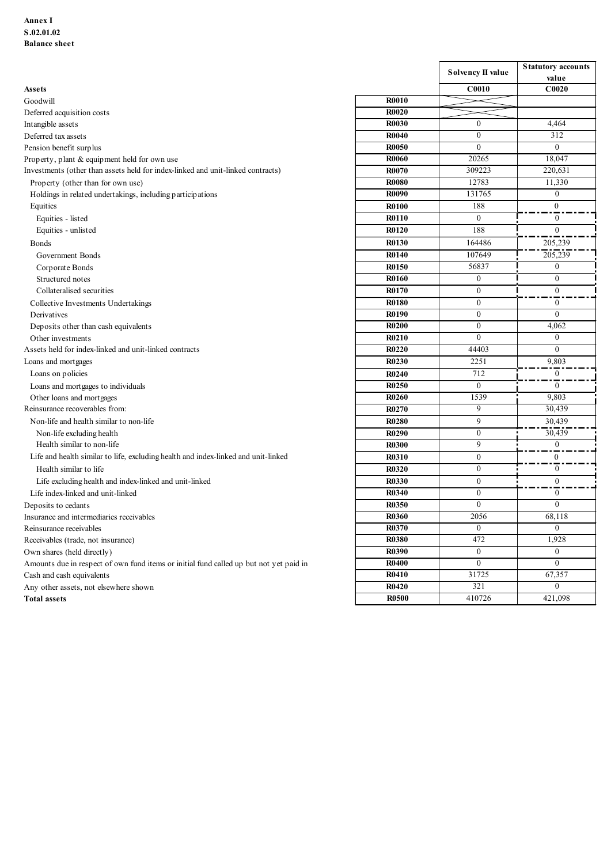| Annex I<br>S.02.01.02<br><b>Balance</b> sheet                                                                        |                              |                                  |                                    |
|----------------------------------------------------------------------------------------------------------------------|------------------------------|----------------------------------|------------------------------------|
|                                                                                                                      |                              |                                  |                                    |
|                                                                                                                      |                              |                                  |                                    |
|                                                                                                                      |                              |                                  |                                    |
|                                                                                                                      |                              | Solvency II value                | <b>Statutory accounts</b><br>value |
| <b>Assets</b>                                                                                                        |                              | C0010                            | C0020                              |
| Goodwill                                                                                                             | <b>R0010</b>                 |                                  |                                    |
| Deferred acquisition costs                                                                                           | <b>R0020</b>                 |                                  |                                    |
| Intangible assets                                                                                                    | <b>R0030</b>                 | $\overline{0}$                   | 4,464                              |
| Deferred tax assets                                                                                                  | <b>R0040</b><br><b>R0050</b> | $\overline{0}$<br>$\overline{0}$ | 312<br>$\overline{0}$              |
| Pension benefit surplus<br>Property, plant & equipment held for own use                                              | <b>R0060</b>                 | 20265                            | 18,047                             |
| Investments (other than assets held for index-linked and unit-linked contracts)                                      | <b>R0070</b>                 | 309223                           | 220,631                            |
| Property (other than for own use)                                                                                    | <b>R0080</b>                 | 12783                            | 11,330                             |
| Holdings in related undertakings, including participations                                                           | <b>R0090</b>                 | 131765                           | $\mathbf{0}$                       |
| Equities                                                                                                             | <b>R0100</b>                 | 188                              | $\overline{0}$                     |
| Equities - listed                                                                                                    | <b>R0110</b>                 | $\overline{0}$                   | $\overline{0}$                     |
| Equities - unlisted                                                                                                  | <b>R0120</b>                 | 188                              | $\theta$                           |
| <b>Bonds</b>                                                                                                         | <b>R0130</b>                 | 164486                           | 205,239                            |
| Government Bonds                                                                                                     | <b>R0140</b><br><b>R0150</b> | 107649                           | 205,239                            |
| Corporate Bonds                                                                                                      | <b>R0160</b>                 | 56837<br>$\overline{0}$          | $\overline{0}$<br>$\theta$         |
| Structured notes<br>Collateralised securities                                                                        | <b>R0170</b>                 | $\mathbf{0}$                     | $\mathbf{0}$                       |
| Collective Investments Undertakings                                                                                  | <b>R0180</b>                 | $\mathbf{0}$                     | $\overline{0}$                     |
| Derivatives                                                                                                          | <b>R0190</b>                 | $\mathbf{0}$                     | $\overline{0}$                     |
| Deposits other than cash equivalents                                                                                 | <b>R0200</b>                 | $\overline{0}$                   | 4,062                              |
| Other investments                                                                                                    | R0210                        | $\overline{0}$                   | $\overline{0}$                     |
| Assets held for index-linked and unit-linked contracts                                                               | R0220                        | 44403                            | $\overline{0}$                     |
| Loans and mortgages                                                                                                  | <b>R0230</b>                 | 2251                             | 9,803                              |
| Loans on policies                                                                                                    | <b>R0240</b>                 | 712                              | $\overline{0}$<br>- 1              |
| Loans and mortgages to individuals                                                                                   | <b>R0250</b>                 | $\mathbf{0}$                     | $\overline{0}$                     |
| Other loans and mortgages<br>Reinsurance recoverables from:                                                          | <b>R0260</b><br>R0270        | 1539<br>9                        | 9,803<br>30,439                    |
| Non-life and health similar to non-life                                                                              | <b>R0280</b>                 | 9                                | 30,439                             |
| Non-life excluding health                                                                                            | <b>R0290</b>                 | $\overline{0}$                   | 30,439                             |
| Health similar to non-life                                                                                           | <b>R0300</b>                 | 9                                | $\overline{0}$                     |
| Life and health similar to life, excluding health and index-linked and unit-linked                                   | <b>R0310</b>                 | $\overline{0}$                   | $\overline{0}$                     |
| Health similar to life                                                                                               | <b>R0320</b>                 | $\overline{0}$                   | $\overline{0}$                     |
| Life excluding health and index-linked and unit-linked                                                               | <b>R0330</b>                 | $\mathbf{0}$                     | $\overline{0}$                     |
| Life index-linked and unit-linked                                                                                    | <b>R0340</b>                 | $\mathbf{0}$                     | $\bf{0}$                           |
| Deposits to cedants                                                                                                  | R0350                        | $\overline{0}$                   | $\overline{0}$                     |
| Insurance and intermediaries receivables                                                                             | <b>R0360</b>                 | 2056                             | 68,118                             |
| Reinsurance receivables                                                                                              | <b>R0370</b>                 | $\overline{0}$                   | $\overline{0}$                     |
| Receivables (trade, not insurance)                                                                                   | <b>R0380</b><br><b>R0390</b> | 472<br>$\mathbf{0}$              | 1,928<br>$\overline{0}$            |
| Own shares (held directly)<br>Amounts due in respect of own fund items or initial fund called up but not yet paid in | <b>R0400</b>                 | $\overline{0}$                   | $\overline{0}$                     |
| Cash and cash equivalents                                                                                            | <b>R0410</b>                 | 31725                            | 67,357                             |
| Any other assets, not elsewhere shown                                                                                | <b>R0420</b>                 | 321                              | $\overline{0}$                     |
|                                                                                                                      | <b>R0500</b>                 |                                  | 421,098                            |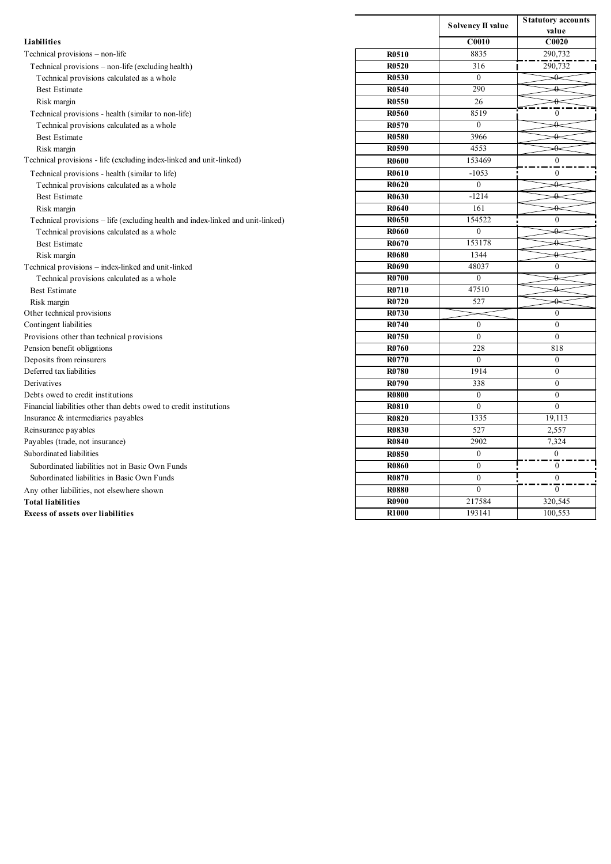|                                                                                                         |                              |                                  | <b>Statutory accounts</b>  |
|---------------------------------------------------------------------------------------------------------|------------------------------|----------------------------------|----------------------------|
|                                                                                                         |                              | Solvency II value                | value                      |
| Liabilities                                                                                             |                              | C0010                            | C0020                      |
| Technical provisions - non-life                                                                         | <b>R0510</b>                 | 8835                             | 290,732                    |
| Technical provisions - non-life (excluding health)                                                      | <b>R0520</b>                 | 316                              | 290,732                    |
| Technical provisions calculated as a whole                                                              | <b>R0530</b>                 | $\mathbf{0}$                     | ↛                          |
| <b>Best Estimate</b><br>Risk margin                                                                     | <b>R0540</b><br><b>R0550</b> | 290<br>26                        | ↛                          |
| Technical provisions - health (similar to non-life)                                                     | <b>R0560</b>                 | 8519                             | $\bf{0}$                   |
| Technical provisions calculated as a whole                                                              | <b>R0570</b>                 | $\overline{0}$                   | $+$                        |
| <b>Best Estimate</b>                                                                                    | R0580                        | 3966                             | ↛                          |
| Risk margin                                                                                             | <b>R0590</b>                 | 4553                             | ↛                          |
| Technical provisions - life (excluding index-linked and unit-linked)                                    | <b>R0600</b>                 | 153469                           | $\mathbf{0}$               |
| Technical provisions - health (similar to life)                                                         | <b>R0610</b>                 | $-1053$                          | $\bf{0}$                   |
| Technical provisions calculated as a whole                                                              | <b>R0620</b>                 | $\overline{0}$                   | ↛                          |
| <b>Best Estimate</b>                                                                                    | <b>R0630</b><br><b>R0640</b> | $-1214$<br>161                   | ↛<br>$+$                   |
| Risk margin<br>Technical provisions - life (excluding health and index-linked and unit-linked)          | <b>R0650</b>                 | 154522                           | $\bf{0}$                   |
| Technical provisions calculated as a whole                                                              | <b>R0660</b>                 | $\mathbf{0}$                     | $\rightarrow$              |
| <b>Best Estimate</b>                                                                                    | <b>R0670</b>                 | 153178                           |                            |
| Risk margin                                                                                             | <b>R0680</b>                 | 1344                             | ↛                          |
| Technical provisions - index-linked and unit-linked                                                     | R0690                        | 48037                            | $\overline{0}$             |
| Technical provisions calculated as a whole                                                              | <b>R0700</b>                 | $\overline{0}$                   | ↛                          |
| <b>Best Estimate</b>                                                                                    | <b>R0710</b>                 | 47510                            | $\rightarrow$<br>↛         |
| Risk margin<br>Other technical provisions                                                               | <b>R0720</b><br><b>R0730</b> | 527                              | $\overline{0}$             |
| Contingent liabilities                                                                                  | <b>R0740</b>                 | $\mathbf{0}$                     | $\overline{0}$             |
| Provisions other than technical provisions                                                              | <b>R0750</b>                 | $\overline{0}$                   | $\overline{0}$             |
| Pension benefit obligations                                                                             | <b>R0760</b>                 | 228                              | 818                        |
| Deposits from reinsurers                                                                                | <b>R0770</b>                 | $\overline{0}$                   | $\overline{0}$             |
| Deferred tax liabilities                                                                                | <b>R0780</b>                 | 1914                             | $\overline{0}$             |
| Derivatives                                                                                             | <b>R0790</b>                 | 338                              | $\mathbf{0}$               |
| Debts owed to credit institutions<br>Financial liabilities other than debts owed to credit institutions | <b>R0800</b><br><b>R0810</b> | $\overline{0}$<br>$\overline{0}$ | $\bf{0}$<br>$\overline{0}$ |
| Insurance & intermediaries payables                                                                     | <b>R0820</b>                 | 1335                             | 19,113                     |
| Reinsurance payables                                                                                    | <b>R0830</b>                 | 527                              | 2,557                      |
| Payables (trade, not insurance)                                                                         | <b>R0840</b>                 | 2902                             | 7,324                      |
| Subordinated liabilities                                                                                | <b>R0850</b>                 | $\mathbf{0}$                     | $\overline{0}$             |
| Subordinated liabilities not in Basic Own Funds                                                         | <b>R0860</b>                 | $\overline{0}$                   | $\overline{0}$             |
| Subordinated liabilities in Basic Own Funds                                                             | <b>R0870</b>                 | $\overline{0}$                   | $\overline{0}$             |
| Any other liabilities, not elsewhere shown                                                              | <b>R0880</b>                 | $\overline{0}$                   | $\overline{0}$             |
| <b>Total liabilities</b>                                                                                | <b>R0900</b><br><b>R1000</b> | 217584                           | 320,545                    |
| Excess of assets over liabilities                                                                       |                              | 193141                           | 100,553                    |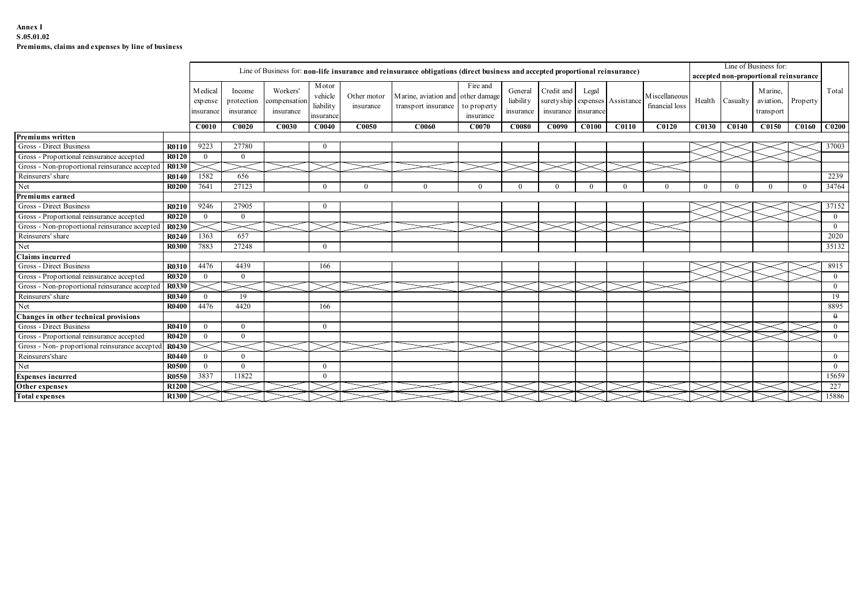### Annex I S.05.01.02 Premiums, claims and expenses by line of business

|                                                                      | Premiums, claims and expenses by line of business |                            |                          |                          |                       |              |                                                                                                                              |                          |                        |                         |              |                     |                |                |                                                   |                                                                |          |                                |
|----------------------------------------------------------------------|---------------------------------------------------|----------------------------|--------------------------|--------------------------|-----------------------|--------------|------------------------------------------------------------------------------------------------------------------------------|--------------------------|------------------------|-------------------------|--------------|---------------------|----------------|----------------|---------------------------------------------------|----------------------------------------------------------------|----------|--------------------------------|
|                                                                      |                                                   |                            |                          |                          |                       |              | Line of Business for: non-life insurance and reinsurance obligations (direct business and accepted proportional reinsurance) |                          |                        |                         |              |                     |                |                |                                                   | Line of Business for:<br>accepted non-proportional reinsurance |          |                                |
|                                                                      |                                                   | M edical                   | Income                   | Workers'                 | M otor<br>vehicle     | Other motor  | Marine, aviation and other damage                                                                                            | Fire and                 | General                | Credit and              | Legal        |                     | M iscellaneous |                |                                                   | Marine,                                                        |          | Total                          |
|                                                                      |                                                   | expense<br>insurance       | protection<br>insurance  | ompensation<br>insurance | liability<br>nsurance | insurance    | transport insurance                                                                                                          | to property<br>insurance | liability<br>insurance | suretyship<br>insurance | insurance    | expenses Assistance | financial loss |                | Health Casualty                                   | aviation,<br>transport                                         | Property |                                |
|                                                                      |                                                   | <b>C0010</b>               | <b>C0020</b>             | C0030                    | C <sub>0040</sub>     | <b>C0050</b> | <b>C0060</b>                                                                                                                 | C0070                    | <b>C0080</b>           | C0090                   | <b>C0100</b> | C0110               | C0120          |                | C0130 C0140                                       | C0150   C0160   C0200                                          |          |                                |
| Premiums written<br>Gross - Direct Business                          | <b>R0110</b>                                      | 9223                       | 27780                    |                          | $\mathbf{0}$          |              |                                                                                                                              |                          |                        |                         |              |                     |                |                |                                                   |                                                                |          |                                |
| Gross - Proportional reinsurance accepted                            | R0120                                             | $\overline{0}$             | $\overline{0}$           |                          |                       |              |                                                                                                                              |                          |                        |                         |              |                     |                |                |                                                   |                                                                |          | 37003                          |
| Gross - Non-proportional reinsurance accepted                        | <b>R0130</b>                                      |                            |                          |                          |                       |              |                                                                                                                              |                          |                        |                         |              |                     |                |                |                                                   |                                                                |          |                                |
| Reinsurers' share                                                    | <b>R0140</b>                                      | 1582                       | 656                      |                          |                       |              |                                                                                                                              |                          |                        |                         |              |                     |                |                |                                                   |                                                                |          | 2239                           |
| Net                                                                  | <b>R0200</b>                                      | 7641                       | 27123                    |                          | $\mathbf{0}$          | $\Omega$     | $\Omega$                                                                                                                     | $\theta$                 | $\Omega$               | $\bf{0}$                | $\theta$     | $\Omega$            | $\Omega$       | $\overline{0}$ | $\bf{0}$                                          | $\mathbf{0}$                                                   | $\theta$ | 34764                          |
| Premiums earned                                                      |                                                   |                            |                          |                          |                       |              |                                                                                                                              |                          |                        |                         |              |                     |                |                |                                                   |                                                                |          |                                |
| Gross - Direct Business                                              | <b>R0210</b>                                      | 9246                       | 27905                    |                          | $\mathbf{0}$          |              |                                                                                                                              |                          |                        |                         |              |                     |                |                |                                                   |                                                                |          | 37152                          |
| Gross - Proportional reinsurance accepted                            | <b>R0220</b>                                      | $\overline{0}$             | $\bf{0}$                 |                          |                       |              |                                                                                                                              |                          |                        |                         |              |                     |                |                |                                                   |                                                                |          | $\overline{0}$                 |
| Gross - Non-proportional reinsurance accepted                        | R0230                                             |                            |                          |                          |                       |              |                                                                                                                              |                          |                        |                         |              |                     |                |                |                                                   |                                                                |          | $\mathbf{0}$                   |
| Reinsurers' share<br>Net                                             | R0240                                             | 1363<br>7883               | 657<br>27248             |                          |                       |              |                                                                                                                              |                          |                        |                         |              |                     |                |                |                                                   |                                                                |          | 2020<br>35132                  |
| Claims incurred                                                      | <b>R0300</b>                                      |                            |                          |                          | $\overline{0}$        |              |                                                                                                                              |                          |                        |                         |              |                     |                |                |                                                   |                                                                |          |                                |
| Gross - Direct Business                                              | R0310                                             | 4476                       | 4439                     |                          | 166                   |              |                                                                                                                              |                          |                        |                         |              |                     |                |                |                                                   |                                                                |          | 8915                           |
| Gross - Proportional reinsurance accepted                            | R0320                                             | $\overline{0}$             | $\overline{0}$           |                          |                       |              |                                                                                                                              |                          |                        |                         |              |                     |                |                |                                                   |                                                                |          | $\overline{0}$                 |
| Gross - Non-proportional reinsurance accepted                        | R0330                                             |                            |                          |                          |                       |              |                                                                                                                              |                          |                        |                         |              |                     |                |                |                                                   |                                                                |          | $\overline{0}$                 |
| Reinsurers' share                                                    | <b>R0340</b>                                      | $\mathbf{0}$               | - 19                     |                          |                       |              |                                                                                                                              |                          |                        |                         |              |                     |                |                |                                                   |                                                                |          | 19                             |
| Net                                                                  | <b>R0400</b>                                      | 4476                       | 4420                     |                          | 166                   |              |                                                                                                                              |                          |                        |                         |              |                     |                |                |                                                   |                                                                |          | 8895                           |
| Changes in other technical provisions                                |                                                   |                            |                          |                          |                       |              |                                                                                                                              |                          |                        |                         |              |                     |                |                |                                                   |                                                                |          | $\theta$                       |
| Gross - Direct Business<br>Gross - Proportional reinsurance accepted | R0410                                             | $\mathbf{0}$               | $\bf{0}$<br>$\mathbf{0}$ |                          | $\overline{0}$        |              |                                                                                                                              |                          |                        |                         |              |                     |                |                | $>\lt$<br>$\mathord{\times}$ 1 $\mathord{\times}$ |                                                                |          | $\overline{0}$<br>$\mathbf{0}$ |
| Gross - Non-proportional reinsurance accepted                        | <b>R0420</b><br>R0430                             | $\overline{0}$<br>$\asymp$ |                          |                          | $\prec$               |              |                                                                                                                              |                          |                        |                         |              |                     |                |                |                                                   |                                                                |          |                                |
| Reinsurers'share                                                     | <b>R0440</b>                                      | $\overline{0}$             | $\overline{\phantom{0}}$ |                          |                       |              |                                                                                                                              |                          |                        |                         |              |                     |                |                |                                                   |                                                                |          | $\overline{0}$                 |
| Net                                                                  | R0500                                             | $\overline{0}$             | $\overline{0}$           |                          | $\overline{0}$        |              |                                                                                                                              |                          |                        |                         |              |                     |                |                |                                                   |                                                                |          | $\overline{0}$                 |
| <b>Expenses incurred</b>                                             | R0550                                             | 3837                       | 11822                    |                          | $\overline{0}$        |              |                                                                                                                              |                          |                        |                         |              |                     |                |                |                                                   |                                                                |          | 15659                          |
| Other expenses                                                       | <b>R1200</b>                                      |                            |                          |                          | $\ltimes$             |              |                                                                                                                              |                          |                        |                         |              |                     |                |                |                                                   |                                                                |          | 227                            |
| <b>Total expenses</b>                                                | <b>R1300</b>                                      |                            |                          |                          |                       |              |                                                                                                                              |                          |                        |                         |              |                     |                |                |                                                   |                                                                |          | 15886                          |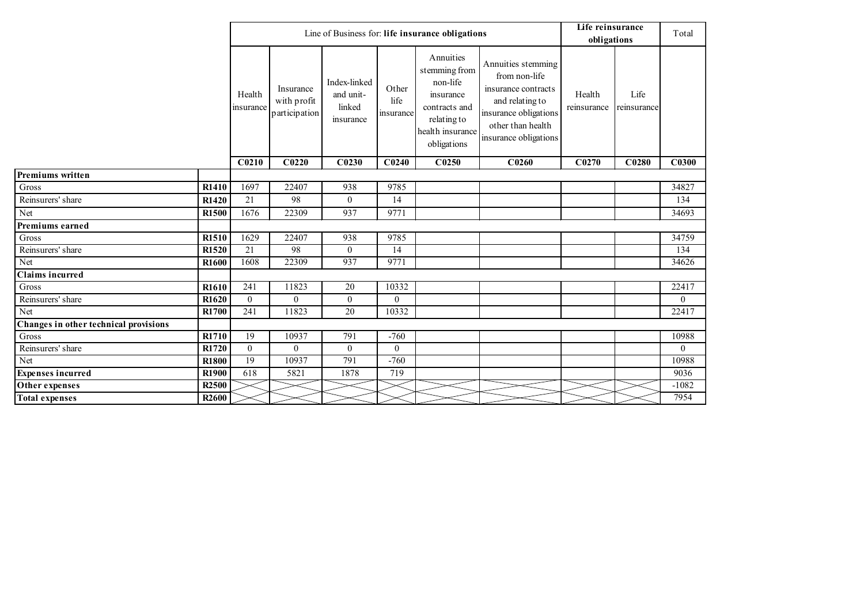|                                       |                   |                     |                                           |                                                  |                            | Line of Business for: life insurance obligations                                                                       |                                                                                                                                                      | Life reinsurance      |                     | Total        |
|---------------------------------------|-------------------|---------------------|-------------------------------------------|--------------------------------------------------|----------------------------|------------------------------------------------------------------------------------------------------------------------|------------------------------------------------------------------------------------------------------------------------------------------------------|-----------------------|---------------------|--------------|
|                                       |                   |                     |                                           |                                                  |                            |                                                                                                                        |                                                                                                                                                      | obligations           |                     |              |
|                                       |                   | Health<br>insurance | Insurance<br>with profit<br>participation | Index-linked<br>and unit-<br>linked<br>insurance | Other<br>life<br>insurance | Annuities<br>stemming from<br>non-life<br>insurance<br>contracts and<br>relating to<br>health insurance<br>obligations | Annuities stemming<br>from non-life<br>insurance contracts<br>and relating to<br>insurance obligations<br>other than health<br>insurance obligations | Health<br>reinsurance | Life<br>reinsurance |              |
|                                       |                   | C <sub>0210</sub>   | C <sub>0220</sub>                         | C <sub>0230</sub>                                | C <sub>0240</sub>          | C <sub>0250</sub>                                                                                                      | C <sub>0260</sub>                                                                                                                                    | C <sub>0270</sub>     | C <sub>0280</sub>   | C0300        |
| <b>Premiums written</b>               |                   |                     |                                           |                                                  |                            |                                                                                                                        |                                                                                                                                                      |                       |                     |              |
| Gross                                 | R1410             | 1697                | 22407                                     | 938                                              | 9785                       |                                                                                                                        |                                                                                                                                                      |                       |                     | 34827        |
| Reinsurers' share                     | R1420             | 21                  | 98                                        | $\mathbf{0}$                                     | 14                         |                                                                                                                        |                                                                                                                                                      |                       |                     | 134          |
| Net                                   | <b>R1500</b>      | 1676                | 22309                                     | 937                                              | 9771                       |                                                                                                                        |                                                                                                                                                      |                       |                     | 34693        |
| Premiums earned                       |                   |                     |                                           |                                                  |                            |                                                                                                                        |                                                                                                                                                      |                       |                     |              |
| $\rm Gross$                           | R1510             | 1629                | 22407                                     | 938                                              | 9785                       |                                                                                                                        |                                                                                                                                                      |                       |                     | 34759        |
| Reinsurers' share                     | R1520             | 21                  | 98                                        | $\overline{0}$                                   | 14                         |                                                                                                                        |                                                                                                                                                      |                       |                     | 134          |
| Net                                   | <b>R1600</b>      | 1608                | 22309                                     | 937                                              | 9771                       |                                                                                                                        |                                                                                                                                                      |                       |                     | 34626        |
| <b>Claims incurred</b>                |                   |                     |                                           |                                                  |                            |                                                                                                                        |                                                                                                                                                      |                       |                     |              |
| $\rm Gross$                           | R <sub>1610</sub> | 241                 | 11823                                     | 20                                               | 10332                      |                                                                                                                        |                                                                                                                                                      |                       |                     | 22417        |
| Reinsurers' share                     | R1620             | $\overline{0}$      | $\mathbf{0}$                              | $\overline{0}$                                   | $\overline{0}$             |                                                                                                                        |                                                                                                                                                      |                       |                     | $\bf{0}$     |
| Net                                   | <b>R1700</b>      | 241                 | 11823                                     | $\overline{20}$                                  | 10332                      |                                                                                                                        |                                                                                                                                                      |                       |                     | 22417        |
| Changes in other technical provisions |                   |                     |                                           |                                                  |                            |                                                                                                                        |                                                                                                                                                      |                       |                     |              |
| $\rm Gross$                           | R1710             | 19                  | 10937                                     | 791                                              | $-760$                     |                                                                                                                        |                                                                                                                                                      |                       |                     | 10988        |
| Reinsurers' share                     | R1720             | $\overline{0}$      | $\mathbf{0}$                              | $\overline{0}$                                   | $\overline{0}$             |                                                                                                                        |                                                                                                                                                      |                       |                     | $\mathbf{0}$ |
| Net                                   | <b>R1800</b>      | 19                  | 10937                                     | 791                                              | $-760$                     |                                                                                                                        |                                                                                                                                                      |                       |                     | 10988        |
| <b>Expenses incurred</b>              | R1900             | 618                 | 5821                                      | 1878                                             | 719                        |                                                                                                                        |                                                                                                                                                      |                       |                     | 9036         |
| Other expenses                        | <b>R2500</b>      |                     |                                           |                                                  |                            |                                                                                                                        |                                                                                                                                                      |                       |                     | $-1082$      |
| <b>Total expenses</b>                 | R <sub>2600</sub> |                     |                                           |                                                  |                            |                                                                                                                        |                                                                                                                                                      |                       |                     | 7954         |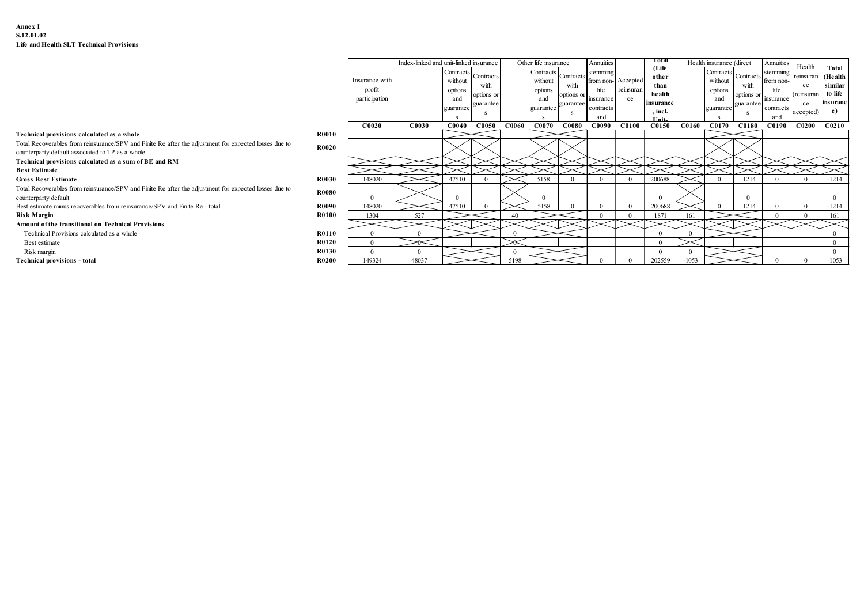### Annex I S.12.01.02 Life and Health SLT Technical Provisions

|                                                                                                                                                           | Insurance with<br>profit<br>participation |              | Index-linked and unit-linked insurance<br>Contracts<br>without<br>options<br>and<br>guarantee | Contracts<br>with<br>options or<br>guarantee |              | Other life insurance<br>Contracts<br>without<br>options<br>and<br>guarantee | Contracts<br>with<br>options or<br>guarantee | <b>Annuities</b><br>stemming<br>from non-Accepted<br>life<br>insurance<br>contracts<br>and | reinsuran<br>ce | Total<br>(Life<br>other<br>than<br>health<br>ins urance<br>, incl. |              | Health insurance (direct<br>Contracts<br>without<br>options<br>and<br>guarantee | Contracts<br>with<br>options or<br>guarantee | Annuities<br>stemming<br>from non-<br>life<br>insurance<br>contracts<br>and | Health<br>reinsuran<br>ce<br>(reinsuran<br>ce<br>accepted) | Total<br>(Health<br>similar<br>to life<br>ins uranc<br>e) |
|-----------------------------------------------------------------------------------------------------------------------------------------------------------|-------------------------------------------|--------------|-----------------------------------------------------------------------------------------------|----------------------------------------------|--------------|-----------------------------------------------------------------------------|----------------------------------------------|--------------------------------------------------------------------------------------------|-----------------|--------------------------------------------------------------------|--------------|---------------------------------------------------------------------------------|----------------------------------------------|-----------------------------------------------------------------------------|------------------------------------------------------------|-----------------------------------------------------------|
| Technical provisions calculated as a whole<br><b>R0010</b>                                                                                                | <b>C0020</b>                              | <b>C0030</b> | <b>C0040</b>                                                                                  | <b>C0050</b>                                 | <b>C0060</b> | <b>C0070</b>                                                                | <b>C0080</b>                                 | C0090                                                                                      | C0100           | C0150                                                              | <b>C0160</b> | <b>C0170</b>                                                                    | <b>C0180</b>                                 | C0190                                                                       | C0200                                                      | C0210                                                     |
| Total Recoverables from reinsurance/SPV and Finite Re after the adjustment for expected losses due to<br>counterparty default associated to TP as a whole | R0020                                     |              |                                                                                               |                                              |              |                                                                             |                                              |                                                                                            |                 |                                                                    |              |                                                                                 |                                              |                                                                             |                                                            |                                                           |
| Technical provisions calculated as a sum of BE and RM                                                                                                     |                                           |              |                                                                                               |                                              |              |                                                                             |                                              |                                                                                            |                 |                                                                    |              |                                                                                 |                                              |                                                                             |                                                            |                                                           |
| <b>Best Estimate</b>                                                                                                                                      |                                           |              |                                                                                               |                                              |              |                                                                             |                                              |                                                                                            |                 |                                                                    |              |                                                                                 |                                              |                                                                             |                                                            |                                                           |
| <b>Gross Best Estimate</b>                                                                                                                                | R0030<br>148020                           |              | 47510                                                                                         |                                              |              | 5158                                                                        |                                              |                                                                                            |                 | 200688                                                             |              |                                                                                 | $-1214$                                      |                                                                             |                                                            | $-1214$                                                   |
| Total Recoverables from reinsurance/SPV and Finite Re after the adjustment for expected losses due to<br>counterparty default                             | <b>R0080</b>                              |              |                                                                                               |                                              |              |                                                                             |                                              |                                                                                            |                 |                                                                    |              |                                                                                 |                                              |                                                                             |                                                            |                                                           |
| R0090<br>Best estimate minus recoverables from reinsurance/SPV and Finite Re - total                                                                      | 148020                                    |              | 47510                                                                                         |                                              |              | 5158                                                                        |                                              |                                                                                            |                 | 200688                                                             |              |                                                                                 | $-1214$                                      |                                                                             |                                                            | $-1214$                                                   |
| <b>R0100</b><br><b>Risk Margin</b>                                                                                                                        | 1304                                      | 527          |                                                                                               |                                              | 40           |                                                                             |                                              |                                                                                            |                 | 1871                                                               |              |                                                                                 |                                              |                                                                             |                                                            | 161                                                       |
| Amount of the transitional on Technical Provisions                                                                                                        |                                           |              |                                                                                               |                                              |              |                                                                             |                                              |                                                                                            |                 |                                                                    |              |                                                                                 |                                              |                                                                             |                                                            |                                                           |
| <b>R0110</b><br>Technical Provisions calculated as a whole                                                                                                |                                           |              |                                                                                               |                                              | $\Omega$     |                                                                             |                                              |                                                                                            |                 |                                                                    |              |                                                                                 |                                              |                                                                             |                                                            |                                                           |
| <b>R0120</b><br>Best estimate                                                                                                                             |                                           |              |                                                                                               |                                              |              |                                                                             |                                              |                                                                                            |                 |                                                                    |              |                                                                                 |                                              |                                                                             |                                                            |                                                           |
| <b>R0130</b><br>Risk margin                                                                                                                               |                                           |              |                                                                                               |                                              |              |                                                                             |                                              |                                                                                            |                 |                                                                    |              |                                                                                 |                                              |                                                                             |                                                            |                                                           |
| Technical provisions - total                                                                                                                              | <b>R0200</b><br>149324                    | 48037        |                                                                                               |                                              | 5198         |                                                                             |                                              |                                                                                            |                 | 202559                                                             | $-1053$      |                                                                                 |                                              |                                                                             |                                                            | $-1053$                                                   |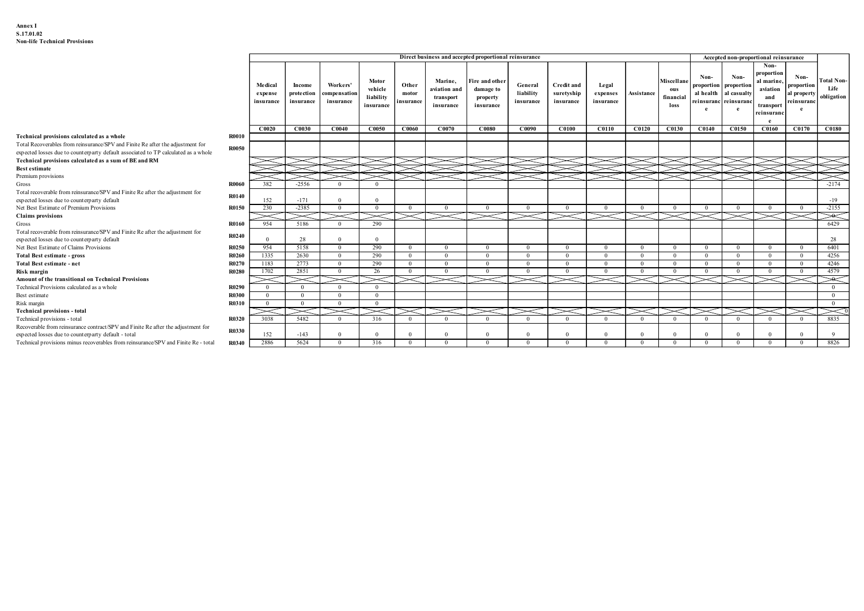| Annex I<br>S.17.01.02<br><b>Non-life Technical Provisions</b>                                                                                                        |                       |                      |                         |                                |                            |                              |                              |                                                       |                            |                            |                                  |                            |                                       |                                |                                                |                                               |                                |                          |
|----------------------------------------------------------------------------------------------------------------------------------------------------------------------|-----------------------|----------------------|-------------------------|--------------------------------|----------------------------|------------------------------|------------------------------|-------------------------------------------------------|----------------------------|----------------------------|----------------------------------|----------------------------|---------------------------------------|--------------------------------|------------------------------------------------|-----------------------------------------------|--------------------------------|--------------------------|
|                                                                                                                                                                      |                       |                      |                         |                                |                            |                              |                              |                                                       |                            |                            |                                  |                            |                                       |                                |                                                |                                               |                                |                          |
|                                                                                                                                                                      |                       |                      |                         |                                |                            |                              |                              |                                                       |                            |                            |                                  |                            |                                       |                                |                                                |                                               |                                |                          |
|                                                                                                                                                                      |                       |                      |                         |                                |                            |                              |                              |                                                       |                            |                            |                                  |                            |                                       |                                |                                                |                                               |                                |                          |
|                                                                                                                                                                      |                       |                      |                         |                                |                            |                              |                              |                                                       |                            |                            |                                  |                            |                                       |                                |                                                |                                               |                                |                          |
|                                                                                                                                                                      |                       |                      |                         |                                |                            |                              |                              |                                                       |                            |                            |                                  |                            |                                       |                                |                                                |                                               |                                |                          |
|                                                                                                                                                                      |                       |                      |                         |                                |                            |                              |                              | Direct business and accepted proportional reinsurance |                            |                            |                                  |                            |                                       |                                |                                                | Accepted non-proportional reinsurance<br>Non- |                                |                          |
|                                                                                                                                                                      |                       |                      |                         |                                |                            |                              |                              |                                                       |                            |                            |                                  |                            |                                       | Non-                           | Non-                                           | proportion                                    | Non-                           |                          |
|                                                                                                                                                                      |                       | Medical              | Income                  | Workers'                       | Motor<br>vehicle           | Other                        | Marine,<br>aviation and      | Fire and other<br>damage to                           | General                    | <b>Credit and</b>          | Legal                            |                            | Miscellane<br>ous                     | roportion                      | proportion                                     | al marine,<br>aviation                        | proportion                     | <b>Total Non</b><br>Life |
|                                                                                                                                                                      |                       | expense<br>insurance | protection<br>insurance | ompensation<br>insurance       | liability                  | motor<br>insurance           | transport                    | property                                              | liability<br>insurance     | suretyship<br>insurance    | expenses<br>insurance            | Assistance                 | financial                             |                                | al health al casualty<br>reinsuranc reinsuranc | and                                           | ıl property<br>reinsuranc      | obligation               |
|                                                                                                                                                                      |                       |                      |                         |                                | insurance                  |                              | insurance                    | insurance                                             |                            |                            |                                  |                            | loss                                  | e                              | e                                              | transport<br>reinsurano                       |                                |                          |
|                                                                                                                                                                      |                       | $\bf C0020$          | <b>C0030</b>            | C0040                          | <b>C0050</b>               | C0060                        | C0070                        | <b>C0080</b>                                          | C0090                      | <b>C0100</b>               | C0110                            |                            | C0120   C0130   C0140   C0150   C0160 |                                |                                                |                                               | C0170                          | C0180                    |
| Technical provisions calculated as a whole                                                                                                                           | <b>R0010</b>          |                      |                         |                                |                            |                              |                              |                                                       |                            |                            |                                  |                            |                                       |                                |                                                |                                               |                                |                          |
| Total Recoverables from reinsurance/SPV and Finite Re after the adjustment for<br>expected losses due to counterparty default associated to TP calculated as a whole | <b>R0050</b>          |                      |                         |                                |                            |                              |                              |                                                       |                            |                            |                                  |                            |                                       |                                |                                                |                                               |                                |                          |
| Technical provisions calculated as a sum of BE and RM                                                                                                                |                       |                      |                         |                                |                            |                              |                              |                                                       |                            |                            |                                  |                            |                                       |                                |                                                |                                               |                                |                          |
| <b>Best estimate</b><br>Premium provisions                                                                                                                           |                       |                      |                         |                                |                            |                              |                              |                                                       |                            |                            |                                  |                            |                                       |                                |                                                |                                               |                                |                          |
| Gross                                                                                                                                                                | <b>R0060</b>          | 382                  | $-2556$                 | $\overline{0}$                 | $\overline{0}$             |                              |                              |                                                       |                            |                            |                                  |                            |                                       |                                |                                                |                                               |                                | $-2174$                  |
| Total recoverable from reinsurance/SPV and Finite Re after the adjustment for<br>expected losses due to counterparty default                                         | <b>R0140</b>          | 152                  | $-171$                  | $\Omega$                       | $\Omega$                   |                              |                              |                                                       |                            |                            |                                  |                            |                                       |                                |                                                |                                               |                                | $-19$                    |
| Net Best Estimate of Premium Provisions                                                                                                                              | R0150                 | 230                  | $-2385$                 | $\overline{0}$                 | $\overline{0}$<br>$\asymp$ | $\mathbf{0}$                 | $\alpha$<br>$>\!<$           | $\Omega$                                              | $\overline{0}$             | $\Omega$                   | $\overline{0}$<br>$>\!<$         | $\Omega$                   | $\overline{0}$                        | $\overline{0}$                 | $\mathbf{0}$                                   | $\Omega$                                      | $\mathbf{0}$                   | $-2155$                  |
| <b>Claims</b> provisions<br>Gross                                                                                                                                    | R0160                 | ><<br>954            | 5186                    | $\mathbf{0}$                   | 290                        |                              |                              | $\asymp$                                              | $>\!<$                     |                            |                                  |                            |                                       |                                |                                                |                                               |                                | $>\!\!>\!\!<$<br>6429    |
| Total recoverable from reinsurance/SPV and Finite Re after the adjustment for<br>expected losses due to counterparty default                                         | <b>R0240</b>          |                      | 28                      | $\Omega$                       | $\overline{0}$             |                              |                              |                                                       |                            |                            |                                  |                            |                                       |                                |                                                |                                               |                                | 28                       |
| Net Best Estimate of Claims Provisions                                                                                                                               | R0250                 | 954                  | 5158                    | $\mathbf{0}$                   | 290                        | $\overline{0}$               | $\mathbf{0}$                 | $\mathbf{0}$                                          | $\mathbf{0}$               | $\overline{0}$             | $\mathbf{0}$                     | $\overline{0}$             | $\mathbf{0}$                          | $\overline{0}$                 | $\mathbf{0}$                                   | $\overline{0}$                                | $\mathbf{0}$                   | 6401                     |
| <b>Total Best estimate - gross</b><br>Total Best estimate - net                                                                                                      | <b>R0260</b><br>R0270 | 1335<br>1183         | 2630<br>2773            | $\overline{0}$<br>$\mathbf{0}$ | 290<br>290                 | $\mathbf{0}$<br>$\mathbf{0}$ | $\mathbf{0}$<br>$\mathbf{0}$ | $\overline{0}$<br>$\theta$                            | $\overline{0}$<br>$\bf{0}$ | $\overline{0}$<br>$\theta$ | $\overline{0}$<br>$\overline{0}$ | $\overline{0}$<br>$\Omega$ | $\overline{0}$<br>$\overline{0}$      | $\mathbf{0}$<br>$\overline{0}$ | $\overline{0}$<br>$\mathbf{0}$                 | $\overline{0}$<br>$\mathbf{0}$                | $\mathbf{0}$<br>$\overline{0}$ | 4256<br>4246             |
| Risk margin                                                                                                                                                          | R0280                 | 1702                 | 2851                    | $\mathbf{0}$                   | 26                         | $\mathbf{0}$                 | $\mathbf{0}$                 | $\mathbf{0}$                                          | $\mathbf{0}$               | $\overline{0}$             | $\mathbf{0}$                     | $\mathbf{0}$               | $\mathbf{0}$                          | $\mathbf{0}$                   | $\mathbf{0}$                                   | $\mathbf{0}$                                  | $\mathbf{0}$                   | 4579                     |
| Amount of the transitional on Technical Provisions<br>Technical Provisions calculated as a whole                                                                     | R0290                 | $\overline{0}$       | $\overline{0}$          | $\!$<br>$\mathbf{0}$           | $>\!<$<br>$\overline{0}$   |                              | $\check{\phantom{1}}$        |                                                       | ➤                          |                            | $\gt$                            |                            |                                       |                                |                                                |                                               |                                | ⋙<br>$\overline{0}$      |
| Best estimate                                                                                                                                                        | R0300                 | $\overline{0}$       | $\Omega$                | $\overline{0}$                 | $\mathbf{0}$               |                              |                              |                                                       |                            |                            |                                  |                            |                                       |                                |                                                |                                               |                                | $\overline{0}$           |
| Risk margin<br>Technical provisions - total                                                                                                                          | R0310                 | $\overline{0}$       | $\Omega$                | $\mathbf{0}$                   | $\mathbf{0}$               |                              |                              |                                                       |                            |                            |                                  |                            |                                       |                                |                                                |                                               |                                | $\overline{0}$           |
| Technical provisions - total<br>Recoverable from reinsurance contract/SPV and Finite Re after the adjustment for                                                     | R0320                 | 3038                 | 5482                    | $\Omega$                       | 316                        | $\Omega$                     | $\Omega$                     |                                                       | $\Omega$                   |                            | $\Omega$                         |                            | $\overline{0}$                        |                                | $\Omega$                                       |                                               | $^{\circ}$                     | 8835                     |
| expected losses due to counterparty default - total                                                                                                                  | <b>R0330</b>          | 152                  | $-143$                  | $\overline{0}$                 | $\overline{0}$             | $\Omega$                     | $\theta$                     | $\Omega$                                              | $\overline{0}$             | $\Omega$                   | $\overline{0}$                   |                            | $\Omega$                              | $\Omega$                       | $\overline{0}$                                 |                                               | $\Omega$                       | $\overline{9}$           |
| Technical provisions minus recoverables from reinsurance/SPV and Finite Re-total R0340 2886                                                                          |                       |                      | 5624                    | $\mathbf{0}$                   | 316                        | $\sim$ 0                     | $\overline{0}$               | $\overline{0}$                                        | $\mathbf{0}$               | $\mathbf{0}$               | $\sim 0$                         | $\overline{0}$             | $\mathbf{0}$                          | $\mathbf{0}$                   | $\mathbf{0}$                                   | $\overline{\mathbf{0}}$                       | $\sim$ 0                       | 8826                     |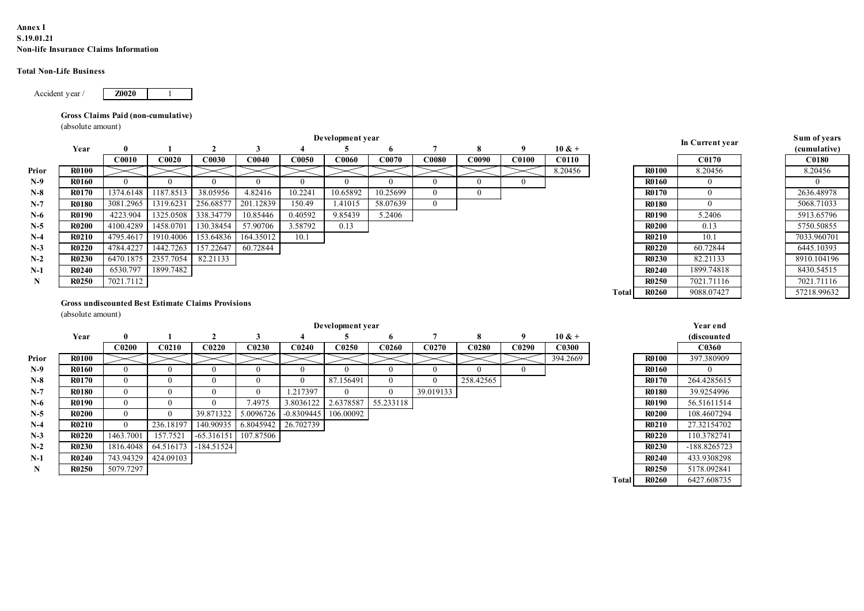### Annex I S.19.01.21 Non-life Insurance Claims Information

### Total Non-Life Business

## Gross Claims Paid (non-cumulative)

| nex I<br>19.01.21    |                                     |                                  |                            |                                                           |                       |                                         |                     |                   |                |                |                     |                               |              |                              |                            |                          |
|----------------------|-------------------------------------|----------------------------------|----------------------------|-----------------------------------------------------------|-----------------------|-----------------------------------------|---------------------|-------------------|----------------|----------------|---------------------|-------------------------------|--------------|------------------------------|----------------------------|--------------------------|
|                      | n-life Insurance Claims Information |                                  |                            |                                                           |                       |                                         |                     |                   |                |                |                     |                               |              |                              |                            |                          |
|                      | tal Non-Life Business               |                                  |                            |                                                           |                       |                                         |                     |                   |                |                |                     |                               |              |                              |                            |                          |
|                      | Accident year /                     | <b>Z0020</b>                     |                            |                                                           |                       |                                         |                     |                   |                |                |                     |                               |              |                              |                            |                          |
|                      | Gross Claims Paid (non-cumulative)  |                                  |                            |                                                           |                       |                                         |                     |                   |                |                |                     |                               |              |                              |                            |                          |
|                      | (absolute amount)                   |                                  |                            |                                                           |                       |                                         |                     |                   |                |                |                     |                               |              |                              |                            |                          |
|                      |                                     |                                  |                            |                                                           |                       |                                         | Development year    |                   |                |                |                     |                               |              |                              | In Current year            | Sum of years             |
|                      | Year                                | 0<br><b>C0010</b>                | C0020                      | $\overline{2}$<br>C0030                                   | $\mathbf{3}$<br>C0040 | $\overline{\mathbf{4}}$<br><b>C0050</b> | -5<br>C0060         | 6<br>C0070        | -7<br>C0080    | 8<br>C0090     | - 9<br><b>C0100</b> | $10 & +$<br>C <sub>0110</sub> |              |                              | C0170                      | (cumulative)<br>C0180    |
| Prior                | <b>R0100</b>                        |                                  |                            |                                                           |                       |                                         |                     |                   |                |                |                     | 8.20456                       |              | <b>R0100</b>                 | 8.20456                    | 8.20456                  |
| $N-9$                | <b>R0160</b>                        | $\bf{0}$                         | $\overline{0}$             | $\overline{0}$                                            | $\overline{0}$        | $\overline{0}$                          | $\overline{0}$      | $\overline{0}$    | $\overline{0}$ | $\overline{0}$ | $\mathbf{0}$        |                               |              | <b>R0160</b>                 | $\bf{0}$                   | $\bf{0}$                 |
| $N-8$                | <b>R0170</b>                        | 1374.6148                        | 1187.8513                  | 38.05956                                                  | 4.82416               | 10.2241                                 | 10.65892            | 10.25699          | $\bf{0}$       | $\overline{0}$ |                     |                               |              | <b>R0170</b>                 | $\overline{0}$             | 2636.48978               |
| $N-7$                | <b>R0180</b>                        | 3081.2965                        | 1319.6231                  | 256.68577                                                 | 201.12839             | 150.49                                  | 1.41015             | 58.07639          | $\overline{0}$ |                |                     |                               |              | <b>R0180</b>                 | $\bf{0}$                   | 5068.71033               |
| $N-6$                | <b>R0190</b>                        | 4223.904                         |                            | 1325.0508 338.34779                                       | 10.85446              | 0.40592                                 | 9.85439             | 5.2406            |                |                |                     |                               |              | <b>R0190</b>                 | 5.2406                     | 5913.65796               |
| $N-5$                | <b>R0200</b>                        | 4100.4289                        | 1458.0701                  | 130.38454                                                 | 57.90706              | 3.58792                                 | 0.13                |                   |                |                |                     |                               |              | <b>R0200</b>                 | 0.13                       | 5750.50855               |
| $N-4$                | <b>R0210</b>                        | 4795.4617                        | 1910.4006                  | 153.64836                                                 | 164.35012             | 10.1                                    |                     |                   |                |                |                     |                               |              | <b>R0210</b>                 | 10.1                       | 7033.960701              |
| $N-3$                | <b>R0220</b>                        | 4784.4227                        | 1442.7263                  | 157.22647                                                 | 60.72844              |                                         |                     |                   |                |                |                     |                               |              | <b>R0220</b>                 | 60.72844                   | 6445.10393               |
| $N-2$                | <b>R0230</b>                        | 6470.1875                        | 2357.7054                  | 82.21133                                                  |                       |                                         |                     |                   |                |                |                     |                               |              | <b>R0230</b>                 | 82.21133                   | 8910.104196              |
| $N-1$<br>$\mathbf N$ | <b>R0240</b><br><b>R0250</b>        | 6530.797<br>7021.7112            | 1899.7482                  |                                                           |                       |                                         |                     |                   |                |                |                     |                               |              | <b>R0240</b><br><b>R0250</b> | 1899.74818<br>7021.71116   | 8430.54515<br>7021.71116 |
|                      |                                     |                                  |                            |                                                           |                       |                                         |                     |                   |                |                |                     |                               | <b>Total</b> | <b>R0260</b>                 | 9088.07427                 | 57218.99632              |
|                      |                                     |                                  |                            | <b>Gross undiscounted Best Estimate Claims Provisions</b> |                       |                                         |                     |                   |                |                |                     |                               |              |                              |                            |                          |
|                      | (absolute amount)                   |                                  |                            |                                                           |                       |                                         |                     |                   |                |                |                     |                               |              |                              |                            |                          |
|                      |                                     |                                  |                            |                                                           |                       |                                         | Development year    |                   |                |                |                     |                               |              |                              | Year end                   |                          |
|                      | Year                                | -0                               |                            | $\overline{2}$                                            | $\mathbf{3}$          | $\overline{\mathbf{4}}$                 | 5                   | -6                | $\overline{7}$ | 8              | - 9                 | $10 & +$                      |              |                              | (discounted                |                          |
|                      |                                     | C <sub>0200</sub>                | C <sub>0210</sub>          | C <sub>0220</sub>                                         | C <sub>0230</sub>     | C <sub>0240</sub>                       | C0250               | C <sub>0260</sub> | C0270          | C0280          | C0290               | C0300                         |              |                              | C0360                      |                          |
| Prior                | <b>R0100</b>                        |                                  |                            |                                                           |                       |                                         |                     |                   |                |                |                     | 394.2669                      |              | <b>R0100</b>                 | 397.380909                 |                          |
| $N-9$                | <b>R0160</b>                        | $\overline{0}$                   | $\bf{0}$                   | $\overline{0}$                                            | $\overline{0}$        | $\overline{0}$                          | $\bf{0}$            | $\bf{0}$          | $\overline{0}$ | $\overline{0}$ | $\overline{0}$      |                               |              | <b>R0160</b>                 | $\bf{0}$                   |                          |
| $N-8$                | <b>R0170</b>                        | $\overline{0}$                   | $\bf{0}$                   | $\bf{0}$                                                  | $\overline{0}$        | $\bf{0}$                                | 87.156491           | $\bf{0}$          | $\overline{0}$ | 258.42565      |                     |                               |              | <b>R0170</b>                 | 264.4285615                |                          |
| $N-7$                | <b>R0180</b>                        | $\overline{0}$                   | $\overline{0}$             | $\bf{0}$                                                  | $\bf{0}$<br>7.4975    | 1.217397                                | $\overline{0}$      | $\overline{0}$    | 39.019133      |                |                     |                               |              | <b>R0180</b><br><b>R0190</b> | 39.9254996                 |                          |
| $N-6$<br>$N-5$       | <b>R0190</b><br><b>R0200</b>        | $\overline{0}$<br>$\overline{0}$ | $\overline{0}$<br>$\bf{0}$ | $\bf{0}$<br>39.871322                                     | 5.0096726             | $-0.8309445$ 106.00092                  | 3.8036122 2.6378587 | 55.233118         |                |                |                     |                               |              | <b>R0200</b>                 | 56.51611514<br>108.4607294 |                          |
| $N-4$                | <b>R0210</b>                        | $\mathbf{0}$                     | 236.18197                  |                                                           |                       | 140.90935 6.8045942 26.702739           |                     |                   |                |                |                     |                               |              | <b>R0210</b>                 | 27.32154702                |                          |
| $N-3$                | <b>R0220</b>                        | 1463.7001                        | 157.7521                   | $-65.316151$ 107.87506                                    |                       |                                         |                     |                   |                |                |                     |                               |              | <b>R0220</b>                 | 110.3782741                |                          |
| $N-2$                | <b>R0230</b>                        | 1816.4048                        |                            | 64.516173 -184.51524                                      |                       |                                         |                     |                   |                |                |                     |                               |              | <b>R0230</b>                 | -188.8265723               |                          |
|                      | <b>R0240</b>                        | 743.94329                        | 424.09103                  |                                                           |                       |                                         |                     |                   |                |                |                     |                               |              | <b>R0240</b>                 | 433.9308298                |                          |
| $N-1$                | R0250                               | 5079 7297                        |                            |                                                           |                       |                                         |                     |                   |                |                |                     |                               |              | R0250                        | 5178 092841                |                          |

|       |              | In Current year  |
|-------|--------------|------------------|
|       |              | C0170            |
|       | <b>R0100</b> | 8.20456          |
|       | <b>R0160</b> | $\boldsymbol{0}$ |
|       | <b>R0170</b> | $\boldsymbol{0}$ |
|       | R0180        | $\overline{0}$   |
|       | R0190        | 5.2406           |
|       | <b>R0200</b> | 0.13             |
|       | R0210        | 10.1             |
|       | <b>R0220</b> | 60.72844         |
|       | R0230        | 82.21133         |
|       | <b>R0240</b> | 1899.74818       |
|       | <b>R0250</b> | 7021.71116       |
| Total | <b>R0260</b> | 9088.07427       |
|       |              |                  |
|       |              |                  |
|       |              | Year end         |
|       |              | (discounted      |
|       |              | C0360            |
|       | R0100        | 397.380909       |

| $v$ and $v$ , years |
|---------------------|
| (cumulative)        |
| <b>C0180</b>        |
| 8.20456             |
|                     |
| 2636.48978          |
| 5068.71033          |
| 5913.65796          |
| 5750.50855          |
| 7033.960701         |
| 6445.10393          |
| 8910.104196         |
| 8430.54515          |
| 7021.71116          |
| 57218.99632         |
|                     |

# Gross undiscounted Best Estimate Claims Provisions

|       | Year              | $\bf{0}$                                                  |                   | 2                 | 3                   | 4                 | 5                 | 6                 |                   | x                 | -9                | $10 \& +$         |              |              |                   | (cumulative) |
|-------|-------------------|-----------------------------------------------------------|-------------------|-------------------|---------------------|-------------------|-------------------|-------------------|-------------------|-------------------|-------------------|-------------------|--------------|--------------|-------------------|--------------|
|       |                   | C0010                                                     | C0020             | C0030             | C <sub>0040</sub>   | C0050             | <b>C0060</b>      | C0070             | C0080             | C0090             | <b>C0100</b>      | <b>C0110</b>      |              |              | C <sub>0170</sub> | <b>C0180</b> |
| Prior | <b>R0100</b>      |                                                           |                   |                   |                     |                   |                   |                   |                   |                   |                   | 8.20456           |              | <b>R0100</b> | 8.20456           | 8.20456      |
| $N-9$ | <b>R0160</b>      | $\theta$                                                  | $\theta$          | $\Omega$          | $\theta$            | $\theta$          | $\theta$          | $\theta$          | $\Omega$          | $\Omega$          | $\theta$          |                   |              | <b>R0160</b> | $\overline{0}$    | $\Omega$     |
| $N-8$ | <b>R0170</b>      | 1374.6148                                                 | 1187.8513         | 38.05956          | 4.82416             | 10.2241           | 10.65892          | 10.25699          | $\theta$          | $\theta$          |                   |                   |              | <b>R0170</b> | $\Omega$          | 2636.48978   |
| $N-7$ | <b>R0180</b>      | 3081.2965                                                 | 1319.6231         | 256.68577         | 201.12839           | 150.49            | 1.41015           | 58.07639          | $\theta$          |                   |                   |                   |              | <b>R0180</b> | $\Omega$          | 5068.71033   |
| $N-6$ | <b>R0190</b>      | 4223.904                                                  | 1325.0508         | 338.34779         | 10.85446            | 0.40592           | 9.85439           | 5.2406            |                   |                   |                   |                   |              | <b>R0190</b> | 5.2406            | 5913.65796   |
| $N-5$ | <b>R0200</b>      | 4100.4289                                                 | 1458.0701         | 130.38454         | 57.90706            | 3.58792           | 0.13              |                   |                   |                   |                   |                   |              | <b>R0200</b> | 0.13              | 5750.50855   |
| $N-4$ | <b>R0210</b>      | 4795.4617                                                 | 1910.4006         | 153.64836         | 164.35012           | 10.1              |                   |                   |                   |                   |                   |                   |              | <b>R0210</b> | 10.1              | 7033.960701  |
| $N-3$ | <b>R0220</b>      | 4784.4227                                                 | 1442.7263         | 157.22647         | 60.72844            |                   |                   |                   |                   |                   |                   |                   |              | <b>R0220</b> | 60.72844          | 6445.10393   |
| $N-2$ | <b>R0230</b>      | 6470.1875                                                 | 2357.7054         | 82.21133          |                     |                   |                   |                   |                   |                   |                   |                   |              | <b>R0230</b> | 82.21133          | 8910.104196  |
| $N-1$ | <b>R0240</b>      | 6530.797                                                  | 1899.7482         |                   |                     |                   |                   |                   |                   |                   |                   |                   |              | <b>R0240</b> | 1899.74818        | 8430.54515   |
| N     | <b>R0250</b>      | 7021.7112                                                 |                   |                   |                     |                   |                   |                   |                   |                   |                   |                   |              | <b>R0250</b> | 7021.71116        | 7021.71116   |
|       |                   |                                                           |                   |                   |                     |                   |                   |                   |                   |                   |                   |                   | <b>Total</b> | <b>R0260</b> | 9088.07427        | 57218.99632  |
|       |                   | <b>Gross undiscounted Best Estimate Claims Provisions</b> |                   |                   |                     |                   |                   |                   |                   |                   |                   |                   |              |              |                   |              |
|       | (absolute amount) |                                                           |                   |                   |                     |                   |                   |                   |                   |                   |                   |                   |              |              |                   |              |
|       |                   |                                                           |                   |                   |                     |                   | Development year  |                   |                   |                   |                   |                   |              |              | Year end          |              |
|       | Year              | $\bf{0}$                                                  | -1                | $\overline{2}$    | $\mathbf{3}$        | 4                 | 5                 | -6                | $\overline{7}$    | 8                 | 9                 | $10 & +$          |              |              | (discounted       |              |
|       |                   | C <sub>0200</sub>                                         | C <sub>0210</sub> | C <sub>0220</sub> | $\overline{C}$ 0230 | C <sub>0240</sub> | C <sub>0250</sub> | C <sub>0260</sub> | C <sub>0270</sub> | C <sub>0280</sub> | C <sub>0290</sub> | C <sub>0300</sub> |              |              | C <sub>0360</sub> |              |
| Prior | <b>R0100</b>      |                                                           |                   |                   |                     |                   |                   |                   |                   |                   |                   | 394.2669          |              | <b>R0100</b> | 397.380909        |              |
| $N-9$ | <b>R0160</b>      | $\theta$                                                  | $\theta$          | $\Omega$          | $\Omega$            | $\overline{0}$    | $\theta$          | $\theta$          | $\Omega$          | $\Omega$          | $\Omega$          |                   |              | <b>R0160</b> | $\Omega$          |              |
| $N-8$ | <b>R0170</b>      | $\mathbf{0}$                                              | $\theta$          | $\theta$          | $\theta$            | $\Omega$          | 87.156491         | $\mathbf{0}$      | $\theta$          | 258.42565         |                   |                   |              | <b>R0170</b> | 264.4285615       |              |
| $N-7$ | R0180             | $\theta$                                                  | $\theta$          | $\theta$          | $\theta$            | 1.217397          | $\theta$          | $\theta$          | 39.019133         |                   |                   |                   |              | <b>R0180</b> | 39.9254996        |              |
| $N-6$ | <b>R0190</b>      | $\theta$                                                  | $\theta$          | $\theta$          | 7.4975              | 3.8036122         | 2.6378587         | 55.233118         |                   |                   |                   |                   |              | <b>R0190</b> | 56.51611514       |              |
| $N-5$ | <b>R0200</b>      | $\theta$                                                  | $\overline{0}$    | 39.871322         | 5.0096726           | $-0.8309445$      | 106.00092         |                   |                   |                   |                   |                   |              | <b>R0200</b> | 108.4607294       |              |
| $N-4$ | <b>R0210</b>      | $\mathbf{0}$                                              | 236.18197         | 140.90935         | 6.8045942           | 26.702739         |                   |                   |                   |                   |                   |                   |              | <b>R0210</b> | 27.32154702       |              |
| $N-3$ | <b>R0220</b>      | 1463.7001                                                 | 157.7521          | $-65.316151$      | 107.87506           |                   |                   |                   |                   |                   |                   |                   |              | <b>R0220</b> | 110.3782741       |              |
| $N-2$ | <b>R0230</b>      | 1816.4048                                                 | 64.516173         | $-184.51524$      |                     |                   |                   |                   |                   |                   |                   |                   |              | <b>R0230</b> | -188.8265723      |              |
| $N-1$ | <b>R0240</b>      | 743.94329                                                 | 424.09103         |                   |                     |                   |                   |                   |                   |                   |                   |                   |              | <b>R0240</b> | 433.9308298       |              |
| N     | <b>R0250</b>      | 5079.7297                                                 |                   |                   |                     |                   |                   |                   |                   |                   |                   |                   |              | <b>R0250</b> | 5178.092841       |              |
|       |                   |                                                           |                   |                   |                     |                   |                   |                   |                   |                   |                   |                   | Total        | <b>R0260</b> | 6427.608735       |              |
|       |                   |                                                           |                   |                   |                     |                   |                   |                   |                   |                   |                   |                   |              |              |                   |              |
|       |                   |                                                           |                   |                   |                     |                   |                   |                   |                   |                   |                   |                   |              |              |                   |              |
|       |                   |                                                           |                   |                   |                     |                   |                   |                   |                   |                   |                   |                   |              |              |                   |              |
|       |                   |                                                           |                   |                   |                     |                   |                   |                   |                   |                   |                   |                   |              |              |                   |              |
|       |                   |                                                           |                   |                   |                     |                   |                   |                   |                   |                   |                   |                   |              |              |                   |              |

|       | <b>R0190</b> | 5.2406       | 5913.65796  |  |
|-------|--------------|--------------|-------------|--|
|       | <b>R0200</b> | 0.13         | 5750.50855  |  |
|       | R0210        | 10.1         | 7033.960701 |  |
|       | <b>R0220</b> | 60.72844     | 6445.10393  |  |
|       | R0230        | 82.21133     | 8910.104196 |  |
|       | R0240        | 1899.74818   | 8430.54515  |  |
|       | <b>R0250</b> | 7021.71116   | 7021.71116  |  |
| Total | R0260        | 9088.07427   | 57218.99632 |  |
|       |              |              |             |  |
|       |              |              |             |  |
|       |              | Year end     |             |  |
|       |              | (discounted  |             |  |
|       |              | C0360        |             |  |
|       | <b>R0100</b> | 397.380909   |             |  |
|       | R0160        | $\mathbf{0}$ |             |  |
|       | R0170        | 264.4285615  |             |  |
|       | <b>R0180</b> | 39.9254996   |             |  |
|       | <b>R0190</b> | 56.51611514  |             |  |
|       | <b>R0200</b> | 108.4607294  |             |  |
|       | R0210        | 27.32154702  |             |  |
|       | R0220        | 110.3782741  |             |  |
|       | R0230        | -188.8265723 |             |  |
|       | R0240        | 433.9308298  |             |  |
|       | <b>R0250</b> | 5178.092841  |             |  |
| Total | <b>R0260</b> | 6427.608735  |             |  |
|       |              |              |             |  |
|       |              |              |             |  |
|       |              |              |             |  |
|       |              |              |             |  |
|       |              |              |             |  |
|       |              |              |             |  |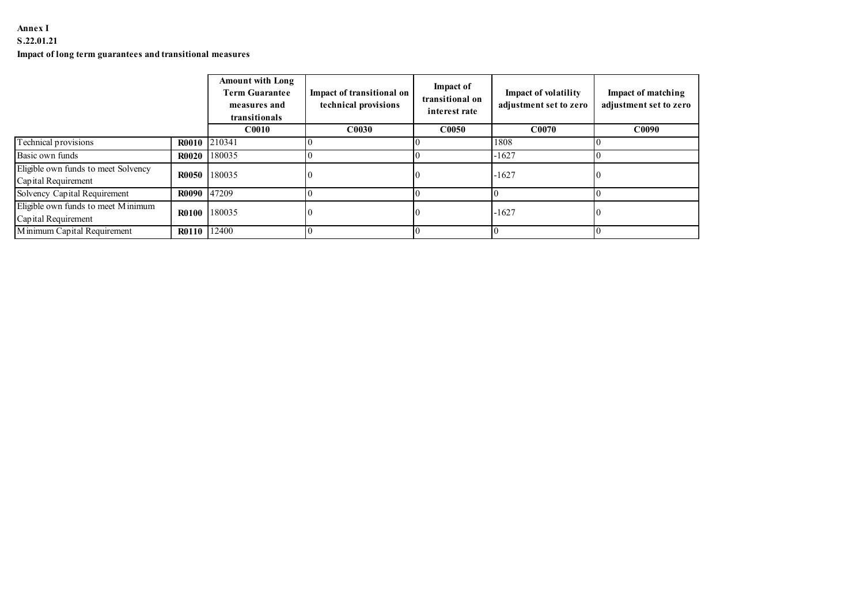# Annex I

## S.22.01.21

## Impact of long term guarantees and transitional measures

| Annex I<br>S.22.01.21                                                                                                                                                   |                             |                                                        |                                                   |                                                      |                                                |                                              |
|-------------------------------------------------------------------------------------------------------------------------------------------------------------------------|-----------------------------|--------------------------------------------------------|---------------------------------------------------|------------------------------------------------------|------------------------------------------------|----------------------------------------------|
| Impact of long term guarantees and transitional measures                                                                                                                |                             |                                                        |                                                   |                                                      |                                                |                                              |
|                                                                                                                                                                         |                             |                                                        |                                                   |                                                      |                                                |                                              |
|                                                                                                                                                                         |                             | <b>Amount with Long</b>                                |                                                   |                                                      |                                                |                                              |
|                                                                                                                                                                         |                             | <b>Term Guarantee</b><br>measures and<br>transitionals | Impact of transitional on<br>technical provisions | <b>Impact of</b><br>transitional on<br>interest rate | Impact of volatility<br>adjustment set to zero | Impact of matching<br>adjustment set to zero |
|                                                                                                                                                                         |                             | C0010                                                  | C <sub>0030</sub>                                 | C <sub>0050</sub>                                    | C0070                                          | C <sub>0090</sub>                            |
|                                                                                                                                                                         | R0010 210341                |                                                        | l0.                                               | $\Omega$                                             | 1808                                           |                                              |
|                                                                                                                                                                         | <b>R0020</b>                | 180035                                                 | IО                                                |                                                      | $-1627$                                        |                                              |
| Basic own funds<br>Eligible own funds to meet Solvency                                                                                                                  | <b>R0050</b>                | 180035                                                 |                                                   |                                                      | $-1627$                                        |                                              |
|                                                                                                                                                                         | <b>R0090</b>                | 47209                                                  | l0                                                |                                                      |                                                |                                              |
| Technical provisions<br>Capital Requirement<br>Solvency Capital Requirement<br>Eligible own funds to meet Minimum<br>Capital Requirement<br>Minimum Capital Requirement | R0100 180035<br>R0110 12400 |                                                        | IО                                                |                                                      | $-1627$                                        |                                              |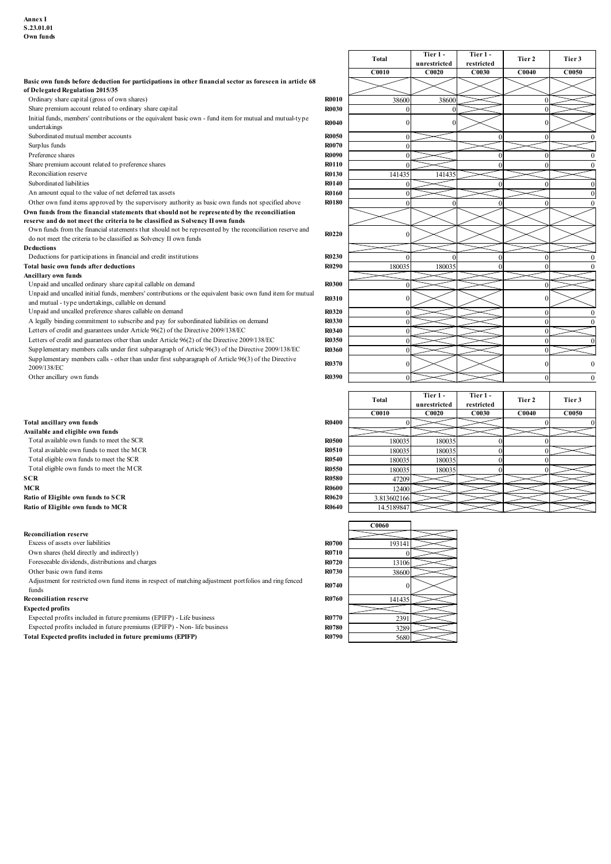| Annex I                                                                                                                                                                                                   |                              |                       |                              |                            |                 |                        |
|-----------------------------------------------------------------------------------------------------------------------------------------------------------------------------------------------------------|------------------------------|-----------------------|------------------------------|----------------------------|-----------------|------------------------|
| S.23.01.01<br>Own funds                                                                                                                                                                                   |                              |                       |                              |                            |                 |                        |
|                                                                                                                                                                                                           |                              |                       | Tier 1 -                     | Tier 1-                    |                 |                        |
|                                                                                                                                                                                                           |                              | Total<br><b>C0010</b> | unrestricted<br><b>C0020</b> | restricted<br>C0030        | Tier 2<br>C0040 | Tier 3<br><b>C0050</b> |
| Basic own funds before deduction for participations in other financial sector as foreseen in article 68<br>of Delegated Regulation 2015/35                                                                |                              |                       |                              |                            |                 |                        |
| Ordinary share capital (gross of own shares)                                                                                                                                                              | <b>R0010</b>                 | 38600                 | 38600                        |                            |                 |                        |
| Share premium account related to ordinary share capital<br>Initial funds, members' contributions or the equivalent basic own - fund item for mutual and mutual-type                                       | <b>R0030</b><br><b>R0040</b> |                       |                              |                            |                 |                        |
| undertakings<br>Subordinated mutual member accounts                                                                                                                                                       | <b>R0050</b>                 |                       |                              |                            |                 |                        |
| Surplus funds<br>Preference shares                                                                                                                                                                        | <b>R0070</b><br><b>R0090</b> |                       |                              |                            |                 |                        |
| Share premium account related to preference shares<br>Reconciliation reserve                                                                                                                              | <b>R0110</b><br><b>R0130</b> | 14143:                | 141435                       |                            |                 |                        |
| Subordinated liabilities                                                                                                                                                                                  | <b>R0140</b>                 |                       |                              |                            |                 |                        |
| An amount equal to the value of net deferred tax assets<br>Other own fund items approved by the supervisory authority as basic own funds not specified above                                              | <b>R0160</b><br><b>R0180</b> |                       |                              |                            |                 |                        |
| Own funds from the financial statements that should not be represented by the reconciliation<br>reserve and do not meet the criteria to be classified as Solvency II own funds                            |                              |                       |                              |                            |                 |                        |
| Own funds from the financial statements that should not be represented by the reconciliation reserve and<br>do not meet the criteria to be classified as Solvency II own funds                            | <b>R0220</b>                 |                       |                              |                            |                 |                        |
| Deductions<br>Deductions for participations in financial and credit institutions                                                                                                                          | <b>R0230</b>                 |                       |                              |                            |                 | $\Omega$               |
| Total basic own funds after deductions<br>Ancillary own funds                                                                                                                                             | <b>R0290</b>                 | 180035                | 180035                       |                            |                 | $\Omega$               |
| Unpaid and uncalled ordinary share capital callable on demand                                                                                                                                             | <b>R0300</b>                 |                       |                              |                            |                 |                        |
| Unpaid and uncalled initial funds, members' contributions or the equivalent basic own fund item for mutual<br>and mutual - type undertakings, callable on demand                                          | <b>R0310</b>                 |                       |                              |                            |                 |                        |
| Unpaid and uncalled preference shares callable on demand<br>A legally binding commitment to subscribe and pay for subordinated liabilities on demand                                                      | <b>R0320</b><br>R0330        |                       |                              |                            | $\Omega$        | $\Omega$               |
| Letters of credit and guarantees under Article 96(2) of the Directive 2009/138/EC<br>Letters of credit and guarantees other than under Article 96(2) of the Directive 2009/138/EC                         | <b>R0340</b><br><b>R0350</b> |                       |                              |                            | $\Omega$        |                        |
| Supplementary members calls under first subparagraph of Article 96(3) of the Directive 2009/138/EC<br>Supplementary members calls - other than under first subparagraph of Article 96(3) of the Directive | <b>R0360</b>                 |                       |                              |                            | $\Omega$        |                        |
| 2009/138/EC<br>Other ancillary own funds                                                                                                                                                                  | <b>R0370</b><br><b>R0390</b> |                       |                              |                            |                 | $\Omega$<br>$\Omega$   |
|                                                                                                                                                                                                           |                              |                       | Tier 1-                      | Tier 1-                    |                 |                        |
|                                                                                                                                                                                                           |                              | Total<br><b>C0010</b> | unrestricted<br><b>C0020</b> | restricted<br><b>C0030</b> | Tier 2<br>C0040 | Tier 3<br><b>C0050</b> |
| Total ancillary own funds<br>Available and eligible own funds                                                                                                                                             | <b>R0400</b>                 |                       |                              |                            |                 |                        |
| Total available own funds to meet the SCR                                                                                                                                                                 | <b>R0500</b>                 | 180035                | 180035                       |                            |                 |                        |
| Total available own funds to meet the MCR<br>Total eligible own funds to meet the SCR                                                                                                                     | <b>R0510</b><br><b>R0540</b> | 180035<br>180035      | 180035<br>180035             |                            |                 |                        |
| Total eligible own funds to meet the MCR<br><b>SCR</b>                                                                                                                                                    | <b>R0550</b><br><b>R0580</b> | 180035<br>47209       | 180035                       |                            |                 |                        |
| MCR<br>Ratio of Eligible own funds to SCR                                                                                                                                                                 | <b>R0600</b><br><b>R0620</b> | 12400<br>3.81360216   |                              |                            |                 |                        |
| Ratio of Eligible own funds to MCR                                                                                                                                                                        | <b>R0640</b>                 | 14.518984             |                              |                            |                 |                        |
|                                                                                                                                                                                                           |                              | <b>C0060</b>          |                              |                            |                 |                        |
| <b>Reconciliation reserve</b><br>Excess of assets over liabilities                                                                                                                                        | <b>R0700</b>                 | 193141                |                              |                            |                 |                        |
| Own shares (held directly and indirectly)<br>Foreseeable dividends, distributions and charges                                                                                                             | <b>R0710</b><br><b>R0720</b> | 13106                 |                              |                            |                 |                        |
| Other basic own fund items                                                                                                                                                                                | <b>R0730</b>                 | 38600                 |                              |                            |                 |                        |

- 
- 
- 
- 
- 

### Reconciliation reserve

| Letters of credit and guarantees other than under Article 96(2) of the Directive 2009/138/EC                       | <b>R0350</b> |              |              |            |                   |          |
|--------------------------------------------------------------------------------------------------------------------|--------------|--------------|--------------|------------|-------------------|----------|
| Supplementary members calls under first subparagraph of Article 96(3) of the Directive 2009/138/EC                 | <b>R0360</b> |              |              |            |                   |          |
| Supplementary members calls - other than under first subparagraph of Article 96(3) of the Directive<br>2009/138/EC | <b>R0370</b> |              |              |            |                   |          |
| Other ancillary own funds                                                                                          | R0390        |              |              |            | $\Omega$          | $\Omega$ |
|                                                                                                                    |              |              |              |            |                   |          |
|                                                                                                                    |              | <b>Total</b> | Tier 1-      | Tier 1-    | Tier 2            | Tier 3   |
|                                                                                                                    |              |              | unrestricted | restricted |                   |          |
|                                                                                                                    |              | C0010        | C0020        | C0030      | C <sub>0040</sub> | C0050    |
| Total ancillary own funds                                                                                          | <b>R0400</b> |              |              |            |                   |          |
| Available and eligible own funds                                                                                   |              |              |              |            |                   |          |
| Total available own funds to meet the SCR                                                                          | <b>R0500</b> | 180035       | 180035       |            |                   |          |
| Total available own funds to meet the MCR                                                                          | R0510        | 180035       | 180035       |            |                   |          |
| Total eligible own funds to meet the SCR                                                                           | <b>R0540</b> | 180035       | 180035       |            |                   |          |
| Total eligible own funds to meet the MCR                                                                           | <b>R0550</b> | 180035       | 180035       |            |                   |          |
| SCR                                                                                                                | <b>R0580</b> | 47209        |              |            |                   |          |
| MCR                                                                                                                | <b>R0600</b> | 12400        |              |            |                   |          |
| Ratio of Eligible own funds to SCR                                                                                 | <b>R0620</b> | 3.813602166  |              |            |                   |          |
| Ratio of Eligible own funds to MCR                                                                                 | <b>R0640</b> | 14.5189847   |              |            |                   |          |
|                                                                                                                    |              |              |              |            |                   |          |
|                                                                                                                    |              | <b>C0060</b> |              |            |                   |          |
| <b>Reconciliation reserve</b>                                                                                      |              |              |              |            |                   |          |
| Excess of assets over liabilities                                                                                  | <b>R0700</b> | 193141       |              |            |                   |          |
| Own shares (held directly and indirectly)                                                                          | R0710        |              |              |            |                   |          |
|                                                                                                                    |              |              |              |            |                   |          |
| Foreseeable dividends, distributions and charges                                                                   | <b>R0720</b> | 13106        |              |            |                   |          |
| Other basic own fund items                                                                                         | <b>R0730</b> | 38600        |              |            |                   |          |
| Adjustment for restricted own fund items in respect of matching adjustment portfolios and ring fenced<br>funds     | <b>R0740</b> |              |              |            |                   |          |
| <b>Reconciliation reserve</b>                                                                                      | <b>R0760</b> |              |              |            |                   |          |
| <b>Expected profits</b>                                                                                            |              | 141435       |              |            |                   |          |
| Expected profits included in future premiums (EPIFP) - Life business                                               | <b>R0770</b> |              |              |            |                   |          |
| Expected profits included in future premiums (EPIFP) - Non- life business                                          | <b>R0780</b> | 2391         |              |            |                   |          |
| Total Expected profits included in future premiums (EPIFP)                                                         | R0790        | 3289<br>5680 |              |            |                   |          |

|                                                                                                                |              | <b>C0060</b> |  |
|----------------------------------------------------------------------------------------------------------------|--------------|--------------|--|
| econciliation reserve                                                                                          |              |              |  |
| Excess of assets over liabilities                                                                              | <b>R0700</b> | 193141       |  |
| Own shares (held directly and indirectly)                                                                      | <b>R0710</b> |              |  |
| Foreseeable dividends, distributions and charges                                                               | <b>R0720</b> | 13106        |  |
| Other basic own fund items                                                                                     | <b>R0730</b> | 38600        |  |
| Adjustment for restricted own fund items in respect of matching adjustment portfolios and ring fenced<br>funds | R0740        | 0            |  |
| econciliation reserve                                                                                          | <b>R0760</b> | 141435       |  |
| xpected profits                                                                                                |              |              |  |
| Expected profits included in future premiums (EPIFP) - Life business                                           | <b>R0770</b> | 2391         |  |
| Expected profits included in future premiums (EPIFP) - Non- life business                                      | <b>R0780</b> | 3289         |  |
| otal Expected profits included in future premiums (EPIFP)                                                      | <b>R0790</b> | 5680         |  |
|                                                                                                                |              |              |  |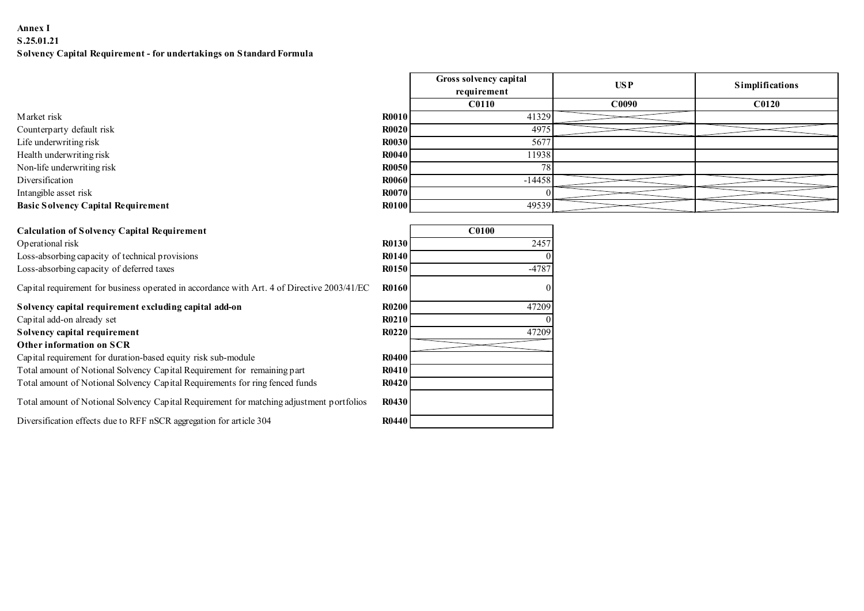# Annex I S.25.01.21 Solvency Capital Requirement - for undertakings on Standard Formula

| Market risk                               |
|-------------------------------------------|
| Counterparty default risk                 |
| Life underwriting risk                    |
| Health underwriting risk                  |
| Non-life underwriting risk                |
| Diversification                           |
| Intangible asset risk                     |
| <b>Basic Solvency Capital Requirement</b> |
|                                           |

| <b>Calculation of Solvency Capital Requirement</b> |  |  |
|----------------------------------------------------|--|--|
|----------------------------------------------------|--|--|

# Other information on SCR

| Annex I<br>S.25.01.21                                                                       |              |                        |            |                 |
|---------------------------------------------------------------------------------------------|--------------|------------------------|------------|-----------------|
|                                                                                             |              |                        |            |                 |
|                                                                                             |              |                        |            |                 |
|                                                                                             |              |                        |            |                 |
|                                                                                             |              |                        |            |                 |
|                                                                                             |              |                        |            |                 |
|                                                                                             |              |                        |            |                 |
|                                                                                             |              |                        |            |                 |
|                                                                                             |              |                        |            |                 |
|                                                                                             |              |                        |            |                 |
|                                                                                             |              |                        |            |                 |
|                                                                                             |              |                        |            |                 |
| Solvency Capital Requirement - for undertakings on Standard Formula                         |              |                        |            |                 |
|                                                                                             |              | Gross solvency capital |            |                 |
|                                                                                             |              | requirement            | <b>USP</b> | Simplifications |
|                                                                                             |              | <b>C0110</b>           | C0090      | <b>C0120</b>    |
| Market risk                                                                                 | <b>R0010</b> | 41329                  |            |                 |
| Counterparty default risk                                                                   | <b>R0020</b> | 4975                   |            |                 |
| Life underwriting risk                                                                      | <b>R0030</b> | 5677                   |            |                 |
| Health underwriting risk                                                                    | <b>R0040</b> | 11938                  |            |                 |
| Non-life underwriting risk                                                                  | <b>R0050</b> | 78                     |            |                 |
| Diversification                                                                             | <b>R0060</b> | $-14458$               |            |                 |
| Intangible asset risk                                                                       | <b>R0070</b> |                        |            |                 |
| <b>Basic Solvency Capital Requirement</b>                                                   | <b>R0100</b> | 49539                  |            |                 |
| <b>Calculation of Solvency Capital Requirement</b>                                          |              | C0100                  |            |                 |
| Operational risk                                                                            | R0130        | 2457                   |            |                 |
| Loss-absorbing capacity of technical provisions                                             | <b>R0140</b> |                        |            |                 |
| Loss-absorbing capacity of deferred taxes                                                   | R0150        | $-4787$                |            |                 |
| Capital requirement for business operated in accordance with Art. 4 of Directive 2003/41/EC | R0160        |                        |            |                 |
| Solvency capital requirement excluding capital add-on                                       | <b>R0200</b> | 47209                  |            |                 |
| Capital add-on already set                                                                  | R0210        |                        |            |                 |
|                                                                                             | <b>R0220</b> | 47209                  |            |                 |
| Solvency capital requirement                                                                |              |                        |            |                 |
| Other information on SCR                                                                    |              |                        |            |                 |
| Capital requirement for duration-based equity risk sub-module                               | <b>R0400</b> |                        |            |                 |
| Total amount of Notional Solvency Capital Requirement for remaining part                    | R0410        |                        |            |                 |
| Total amount of Notional Solvency Capital Requirements for ring fenced funds                | <b>R0420</b> |                        |            |                 |

| <b>Calculation of Solvency Capital Requirement</b>                                          |              | <b>C0100</b> |
|---------------------------------------------------------------------------------------------|--------------|--------------|
| Operational risk                                                                            | <b>R0130</b> | 2457         |
| Loss-absorbing capacity of technical provisions                                             | <b>R0140</b> |              |
| Loss-absorbing capacity of deferred taxes                                                   | <b>R0150</b> | $-4787$      |
| Capital requirement for business operated in accordance with Art. 4 of Directive 2003/41/EC | <b>R0160</b> |              |
| Solvency capital requirement excluding capital add-on                                       | <b>R0200</b> | 47209        |
| Capital add-on already set                                                                  | <b>R0210</b> |              |
| Solvency capital requirement                                                                | <b>R0220</b> | 47209        |
| Other information on SCR                                                                    |              |              |
| Capital requirement for duration-based equity risk sub-module                               | <b>R0400</b> |              |
| Total amount of Notional Solvency Capital Requirement for remaining part                    | <b>R0410</b> |              |
| Total amount of Notional Solvency Capital Requirements for ring fenced funds                | <b>R0420</b> |              |
| Total amount of Notional Solvency Capital Requirement for matching adjustment portfolios    | <b>R0430</b> |              |
| Diversification effects due to RFF nSCR aggregation for article 304                         | <b>R0440</b> |              |
|                                                                                             |              |              |